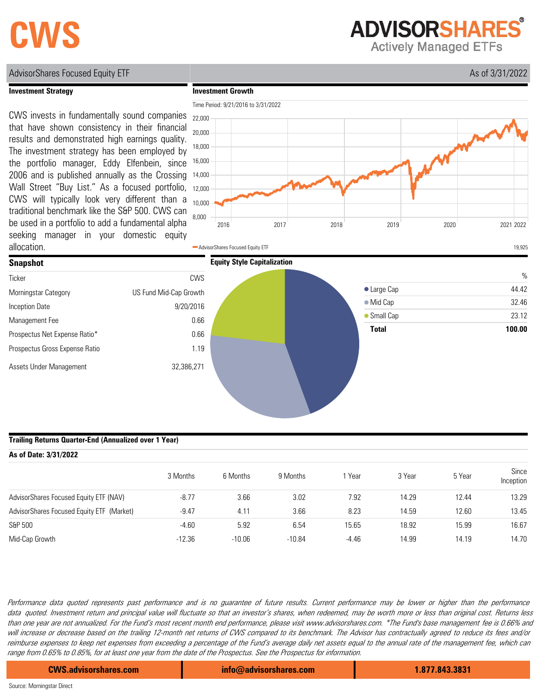# **CWS**

**ADVISORSHARES** 

**Actively Managed ETFs** 

### AdvisorShares Focused Equity ETF As of 3/31/2022

#### **Investment Strategy**

**Investment Growth**

# CWS invests in fundamentally sound companies

that have shown consistency in their financial results and demonstrated high earnings quality. The investment strategy has been employed by the portfolio manager, Eddy Elfenbein, since 2006 and is published annually as the Crossing Wall Street "Buy List." As a focused portfolio, CWS will typically look very different than a traditional benchmark like the S&P 500. CWS can be used in a portfolio to add a fundamental alpha seeking manager in your domestic equity allocation.





#### **Trailing Returns Quarter-End (Annualized over 1 Year)**

| As of Date: 3/31/2022                      |          |          |          |         |        |        |                    |  |  |
|--------------------------------------------|----------|----------|----------|---------|--------|--------|--------------------|--|--|
|                                            | 3 Months | 6 Months | 9 Months | Year    | 3 Year | 5 Year | Since<br>Inception |  |  |
| AdvisorShares Focused Equity ETF (NAV)     | $-8.77$  | 3.66     | 3.02     | 7.92    | 14.29  | 12.44  | 13.29              |  |  |
| Advisor Shares Focused Equity ETF (Market) | $-9.47$  | 4.11     | 3.66     | 8.23    | 14.59  | 12.60  | 13.45              |  |  |
| S&P 500                                    | $-4.60$  | 5.92     | 6.54     | 15.65   | 18.92  | 15.99  | 16.67              |  |  |
| Mid-Cap Growth                             | $-12.36$ | $-10.06$ | $-10.84$ | $-4.46$ | 14.99  | 14.19  | 14.70              |  |  |

Performance data quoted represents past performance and is no guarantee of future results. Current performance may be lower or higher than the performance data quoted. Investment return and principal value will fluctuate so that an investor's shares, when redeemed, may be worth more or less than original cost. Returns less than one year are not annualized. For the Fund's most recent month end performance, please visit www.advisorshares.com. \*The Fund's base management fee is 0.66% and will increase or decrease based on the trailing 12-month net returns of CWS compared to its benchmark. The Advisor has contractually agreed to reduce its fees and/or reimburse expenses to keep net expenses from exceeding a percentage of the Fund's average daily net assets equal to the annual rate of the management fee, which can range from 0.65% to 0.85%, for at least one year from the date of the Prospectus. See the Prospectus for information.

**CWS.advisorshares.com info@advisorshares.com 1.877.843.3831**